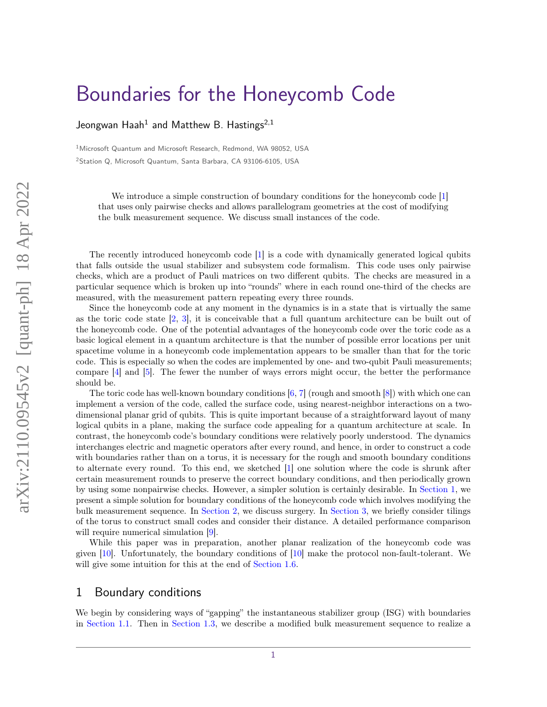# [Boundaries for the Honeycomb Code](https://quantum-journal.org/?s=Boundaries%20for%20the%20Honeycomb%20Code&reason=title-click)

Jeongwan Haah $^1$  and Matthew B. Hastings $^{2,1}$ 

<sup>1</sup>Microsoft Quantum and Microsoft Research, Redmond, WA 98052, USA <sup>2</sup>Station Q, Microsoft Quantum, Santa Barbara, CA 93106-6105, USA

We introduce a simple construction of boundary conditions for the honeycomb code [\[1\]](#page-10-0) that uses only pairwise checks and allows parallelogram geometries at the cost of modifying the bulk measurement sequence. We discuss small instances of the code.

The recently introduced honeycomb code [\[1\]](#page-10-0) is a code with dynamically generated logical qubits that falls outside the usual stabilizer and subsystem code formalism. This code uses only pairwise checks, which are a product of Pauli matrices on two different qubits. The checks are measured in a particular sequence which is broken up into "rounds" where in each round one-third of the checks are measured, with the measurement pattern repeating every three rounds.

Since the honeycomb code at any moment in the dynamics is in a state that is virtually the same as the toric code state  $[2, 3]$  $[2, 3]$  $[2, 3]$ , it is conceivable that a full quantum architecture can be built out of the honeycomb code. One of the potential advantages of the honeycomb code over the toric code as a basic logical element in a quantum architecture is that the number of possible error locations per unit spacetime volume in a honeycomb code implementation appears to be smaller than that for the toric code. This is especially so when the codes are implemented by one- and two-qubit Pauli measurements; compare [\[4\]](#page-10-3) and [\[5\]](#page-10-4). The fewer the number of ways errors might occur, the better the performance should be.

The toric code has well-known boundary conditions [\[6,](#page-10-5) [7\]](#page-10-6) (rough and smooth [\[8\]](#page-11-0)) with which one can implement a version of the code, called the surface code, using nearest-neighbor interactions on a twodimensional planar grid of qubits. This is quite important because of a straightforward layout of many logical qubits in a plane, making the surface code appealing for a quantum architecture at scale. In contrast, the honeycomb code's boundary conditions were relatively poorly understood. The dynamics interchanges electric and magnetic operators after every round, and hence, in order to construct a code with boundaries rather than on a torus, it is necessary for the rough and smooth boundary conditions to alternate every round. To this end, we sketched [\[1\]](#page-10-0) one solution where the code is shrunk after certain measurement rounds to preserve the correct boundary conditions, and then periodically grown by using some nonpairwise checks. However, a simpler solution is certainly desirable. In [Section 1,](#page-0-0) we present a simple solution for boundary conditions of the honeycomb code which involves modifying the bulk measurement sequence. In [Section 2,](#page-6-0) we discuss surgery. In [Section 3,](#page-9-0) we briefly consider tilings of the torus to construct small codes and consider their distance. A detailed performance comparison will require numerical simulation [\[9\]](#page-11-1).

While this paper was in preparation, another planar realization of the honeycomb code was given [\[10\]](#page-11-2). Unfortunately, the boundary conditions of [\[10\]](#page-11-2) make the protocol non-fault-tolerant. We will give some intuition for this at the end of [Section 1.6.](#page-4-0)

## <span id="page-0-0"></span>1 Boundary conditions

We begin by considering ways of "gapping" the instantaneous stabilizer group (ISG) with boundaries in [Section 1.1.](#page-1-0) Then in [Section 1.3,](#page-2-0) we describe a modified bulk measurement sequence to realize a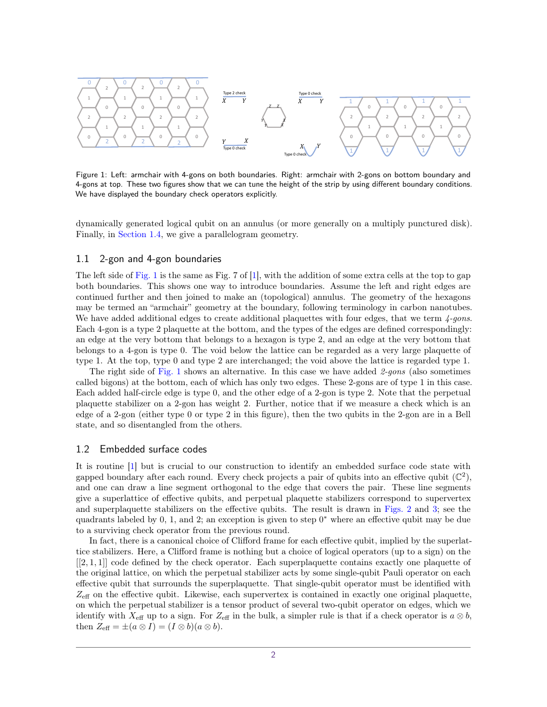<span id="page-1-1"></span>

Figure 1: Left: armchair with 4-gons on both boundaries. Right: armchair with 2-gons on bottom boundary and 4-gons at top. These two figures show that we can tune the height of the strip by using different boundary conditions. We have displayed the boundary check operators explicitly.

dynamically generated logical qubit on an annulus (or more generally on a multiply punctured disk). Finally, in [Section 1.4,](#page-3-0) we give a parallelogram geometry.

#### <span id="page-1-0"></span>1.1 2-gon and 4-gon boundaries

The left side of [Fig. 1](#page-1-1) is the same as Fig. 7 of [\[1\]](#page-10-0), with the addition of some extra cells at the top to gap both boundaries. This shows one way to introduce boundaries. Assume the left and right edges are continued further and then joined to make an (topological) annulus. The geometry of the hexagons may be termed an "armchair" geometry at the boundary, following terminology in carbon nanotubes. We have added additional edges to create additional plaquettes with four edges, that we term  $\frac{4-gons}{2}$ . Each 4-gon is a type 2 plaquette at the bottom, and the types of the edges are defined correspondingly: an edge at the very bottom that belongs to a hexagon is type 2, and an edge at the very bottom that belongs to a 4-gon is type 0. The void below the lattice can be regarded as a very large plaquette of type 1. At the top, type 0 and type 2 are interchanged; the void above the lattice is regarded type 1.

The right side of [Fig. 1](#page-1-1) shows an alternative. In this case we have added  $2-gons$  (also sometimes called bigons) at the bottom, each of which has only two edges. These 2-gons are of type 1 in this case. Each added half-circle edge is type 0, and the other edge of a 2-gon is type 2. Note that the perpetual plaquette stabilizer on a 2-gon has weight 2. Further, notice that if we measure a check which is an edge of a 2-gon (either type 0 or type 2 in this figure), then the two qubits in the 2-gon are in a Bell state, and so disentangled from the others.

#### 1.2 Embedded surface codes

It is routine [\[1\]](#page-10-0) but is crucial to our construction to identify an embedded surface code state with gapped boundary after each round. Every check projects a pair of qubits into an effective qubit  $(\mathbb{C}^2)$ , and one can draw a line segment orthogonal to the edge that covers the pair. These line segments give a superlattice of effective qubits, and perpetual plaquette stabilizers correspond to supervertex and superplaquette stabilizers on the effective qubits. The result is drawn in [Figs. 2](#page-2-1) and [3;](#page-3-1) see the quadrants labeled by  $0, 1$ , and  $2$ ; an exception is given to step  $0^*$  where an effective qubit may be due to a surviving check operator from the previous round.

In fact, there is a canonical choice of Clifford frame for each effective qubit, implied by the superlattice stabilizers. Here, a Clifford frame is nothing but a choice of logical operators (up to a sign) on the [[2*,* 1*,* 1]] code defined by the check operator. Each superplaquette contains exactly one plaquette of the original lattice, on which the perpetual stabilizer acts by some single-qubit Pauli operator on each effective qubit that surrounds the superplaquette. That single-qubit operator must be identified with  $Z_{\text{eff}}$  on the effective qubit. Likewise, each supervertex is contained in exactly one original plaquette, on which the perpetual stabilizer is a tensor product of several two-qubit operator on edges, which we identify with  $X_{\text{eff}}$  up to a sign. For  $Z_{\text{eff}}$  in the bulk, a simpler rule is that if a check operator is  $a \otimes b$ , then  $Z_{\text{eff}} = \pm (a \otimes I) = (I \otimes b)(a \otimes b).$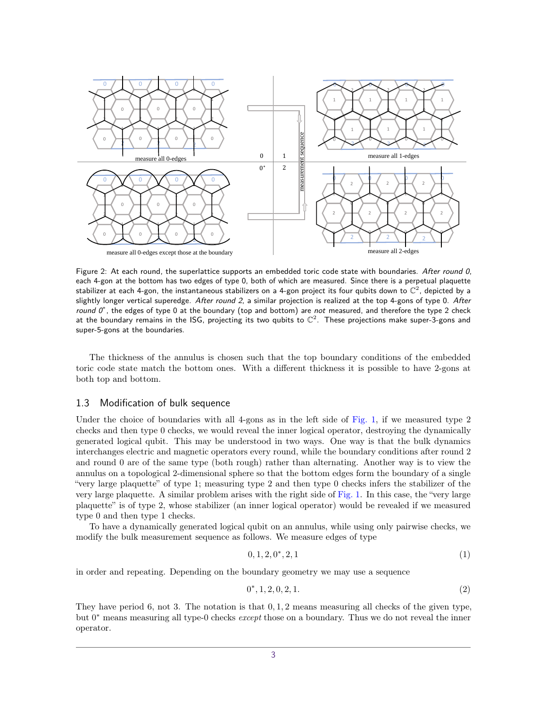<span id="page-2-1"></span>

Figure 2: At each round, the superlattice supports an embedded toric code state with boundaries. After round 0, each 4-gon at the bottom has two edges of type 0, both of which are measured. Since there is a perpetual plaquette stabilizer at each 4-gon, the instantaneous stabilizers on a 4-gon project its four qubits down to  $\mathbb{C}^2$ , depicted by a slightly longer vertical superedge. After round 2, a similar projection is realized at the top 4-gons of type 0. After round  $0^*$ , the edges of type 0 at the boundary (top and bottom) are not measured, and therefore the type 2 check at the boundary remains in the ISG, projecting its two qubits to  $\mathbb{C}^2$ . These projections make super-3-gons and super-5-gons at the boundaries.

The thickness of the annulus is chosen such that the top boundary conditions of the embedded toric code state match the bottom ones. With a different thickness it is possible to have 2-gons at both top and bottom.

#### <span id="page-2-0"></span>1.3 Modification of bulk sequence

Under the choice of boundaries with all 4-gons as in the left side of [Fig. 1,](#page-1-1) if we measured type 2 checks and then type 0 checks, we would reveal the inner logical operator, destroying the dynamically generated logical qubit. This may be understood in two ways. One way is that the bulk dynamics interchanges electric and magnetic operators every round, while the boundary conditions after round 2 and round 0 are of the same type (both rough) rather than alternating. Another way is to view the annulus on a topological 2-dimensional sphere so that the bottom edges form the boundary of a single "very large plaquette" of type 1; measuring type 2 and then type 0 checks infers the stabilizer of the very large plaquette. A similar problem arises with the right side of [Fig. 1.](#page-1-1) In this case, the "very large plaquette" is of type 2, whose stabilizer (an inner logical operator) would be revealed if we measured type 0 and then type 1 checks.

To have a dynamically generated logical qubit on an annulus, while using only pairwise checks, we modify the bulk measurement sequence as follows. We measure edges of type

$$
0, 1, 2, 0^*, 2, 1 \tag{1}
$$

in order and repeating. Depending on the boundary geometry we may use a sequence

$$
0^*, 1, 2, 0, 2, 1. \tag{2}
$$

They have period 6, not 3. The notation is that 0*,* 1*,* 2 means measuring all checks of the given type, but 0 <sup>∗</sup> means measuring all type-0 checks *except* those on a boundary. Thus we do not reveal the inner operator.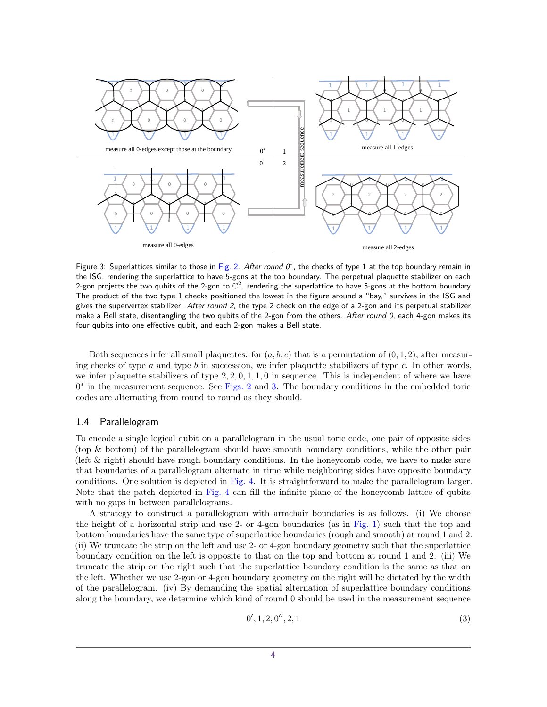<span id="page-3-1"></span>

Figure 3: Superlattices similar to those in [Fig. 2.](#page-2-1) After round  $0^*$ , the checks of type 1 at the top boundary remain in the ISG, rendering the superlattice to have 5-gons at the top boundary. The perpetual plaquette stabilizer on each 2-gon projects the two qubits of the 2-gon to  $\mathbb{C}^2$ , rendering the superlattice to have 5-gons at the bottom boundary. The product of the two type 1 checks positioned the lowest in the figure around a "bay," survives in the ISG and gives the supervertex stabilizer. After round 2, the type 2 check on the edge of a 2-gon and its perpetual stabilizer make a Bell state, disentangling the two qubits of the 2-gon from the others. After round 0, each 4-gon makes its four qubits into one effective qubit, and each 2-gon makes a Bell state.

Both sequences infer all small plaquettes: for  $(a, b, c)$  that is a permutation of  $(0, 1, 2)$ , after measuring checks of type *a* and type *b* in succession, we infer plaquette stabilizers of type *c*. In other words, we infer plaquette stabilizers of type 2*,* 2*,* 0*,* 1*,* 1*,* 0 in sequence. This is independent of where we have 0<sup>\*</sup> in the measurement sequence. See [Figs. 2](#page-2-1) and [3.](#page-3-1) The boundary conditions in the embedded toric codes are alternating from round to round as they should.

#### <span id="page-3-0"></span>1.4 Parallelogram

To encode a single logical qubit on a parallelogram in the usual toric code, one pair of opposite sides (top & bottom) of the parallelogram should have smooth boundary conditions, while the other pair (left & right) should have rough boundary conditions. In the honeycomb code, we have to make sure that boundaries of a parallelogram alternate in time while neighboring sides have opposite boundary conditions. One solution is depicted in [Fig. 4.](#page-4-1) It is straightforward to make the parallelogram larger. Note that the patch depicted in [Fig. 4](#page-4-1) can fill the infinite plane of the honeycomb lattice of qubits with no gaps in between parallelograms.

A strategy to construct a parallelogram with armchair boundaries is as follows. (i) We choose the height of a horizontal strip and use 2- or 4-gon boundaries (as in [Fig. 1\)](#page-1-1) such that the top and bottom boundaries have the same type of superlattice boundaries (rough and smooth) at round 1 and 2. (ii) We truncate the strip on the left and use 2- or 4-gon boundary geometry such that the superlattice boundary condition on the left is opposite to that on the top and bottom at round 1 and 2. (iii) We truncate the strip on the right such that the superlattice boundary condition is the same as that on the left. Whether we use 2-gon or 4-gon boundary geometry on the right will be dictated by the width of the parallelogram. (iv) By demanding the spatial alternation of superlattice boundary conditions along the boundary, we determine which kind of round 0 should be used in the measurement sequence

$$
0', 1, 2, 0'', 2, 1 \tag{3}
$$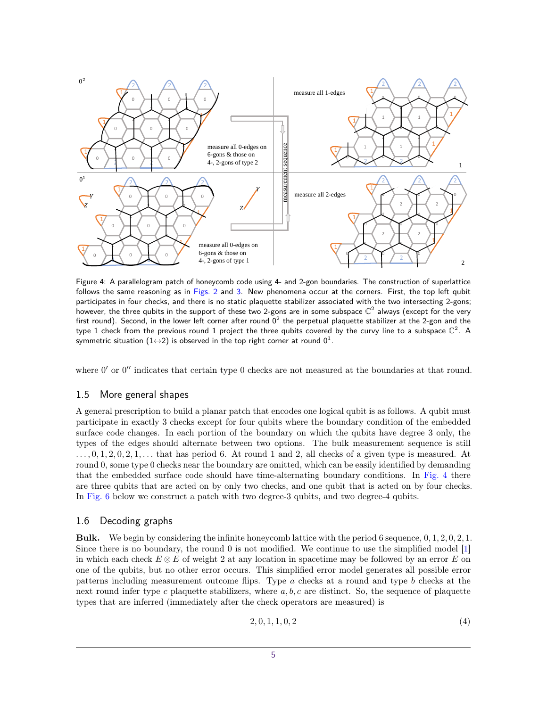<span id="page-4-1"></span>

Figure 4: A parallelogram patch of honeycomb code using 4- and 2-gon boundaries. The construction of superlattice follows the same reasoning as in [Figs. 2](#page-2-1) and [3.](#page-3-1) New phenomena occur at the corners. First, the top left qubit participates in four checks, and there is no static plaquette stabilizer associated with the two intersecting 2-gons; however, the three qubits in the support of these two 2-gons are in some subspace  $\mathbb{C}^2$  always (except for the very first round). Second, in the lower left corner after round  $0^2$  the perpetual plaquette stabilizer at the 2-gon and the type 1 check from the previous round 1 project the three qubits covered by the curvy line to a subspace  $\mathbb{C}^2$ . A symmetric situation  $(1{\leftrightarrow}2)$  is observed in the top right corner at round  $0^1.$ 

where  $0'$  or  $0''$  indicates that certain type 0 checks are not measured at the boundaries at that round.

### 1.5 More general shapes

A general prescription to build a planar patch that encodes one logical qubit is as follows. A qubit must participate in exactly 3 checks except for four qubits where the boundary condition of the embedded surface code changes. In each portion of the boundary on which the qubits have degree 3 only, the types of the edges should alternate between two options. The bulk measurement sequence is still  $\dots, 0, 1, 2, 0, 2, 1, \dots$  that has period 6. At round 1 and 2, all checks of a given type is measured. At round 0, some type 0 checks near the boundary are omitted, which can be easily identified by demanding that the embedded surface code should have time-alternating boundary conditions. In [Fig. 4](#page-4-1) there are three qubits that are acted on by only two checks, and one qubit that is acted on by four checks. In [Fig. 6](#page-8-0) below we construct a patch with two degree-3 qubits, and two degree-4 qubits.

#### <span id="page-4-0"></span>1.6 Decoding graphs

**Bulk.** We begin by considering the infinite honeycomb lattice with the period 6 sequence, 0*,* 1*,* 2*,* 0*,* 2*,* 1. Since there is no boundary, the round 0 is not modified. We continue to use the simplified model [\[1\]](#page-10-0) in which each check  $E \otimes E$  of weight 2 at any location in spacetime may be followed by an error  $E$  on one of the qubits, but no other error occurs. This simplified error model generates all possible error patterns including measurement outcome flips. Type *a* checks at a round and type *b* checks at the next round infer type *c* plaquette stabilizers, where *a, b, c* are distinct. So, the sequence of plaquette types that are inferred (immediately after the check operators are measured) is

$$
2, 0, 1, 1, 0, 2 \tag{4}
$$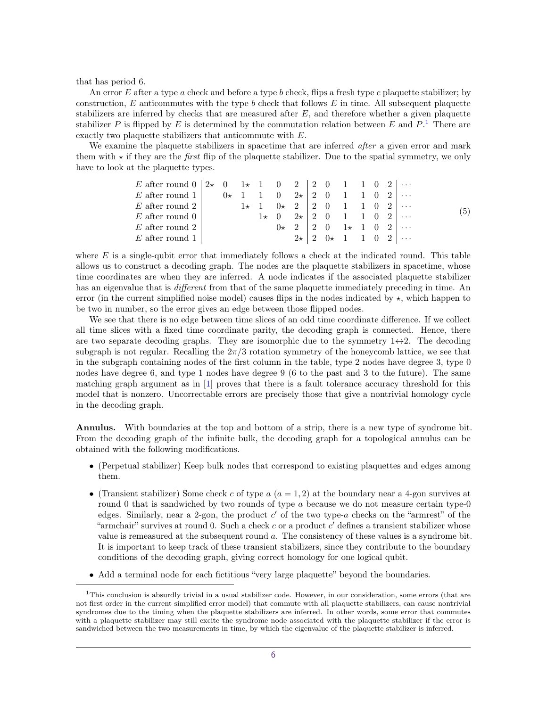that has period 6.

An error *E* after a type *a* check and before a type *b* check, flips a fresh type *c* plaquette stabilizer; by construction, *E* anticommutes with the type *b* check that follows *E* in time. All subsequent plaquette stabilizers are inferred by checks that are measured after *E*, and therefore whether a given plaquette stabilizer *P* is flipped by *E* is determined by the commutation relation between *E* and  $P$ . There are exactly two plaquette stabilizers that anticommute with *E*.

We examine the plaquette stabilizers in spacetime that are inferred *after* a given error and mark them with  $\star$  if they are the *first* flip of the plaquette stabilizer. Due to the spatial symmetry, we only have to look at the plaquette types.

| E after round $0 \mid 2\star 0 \quad 1\star 1 \quad 0 \quad 2 \mid 2 \quad 0 \quad 1 \quad 1 \quad 0 \quad 2 \mid \cdots$ |  |  |  |  |                                                                |  |  |     |
|---------------------------------------------------------------------------------------------------------------------------|--|--|--|--|----------------------------------------------------------------|--|--|-----|
| E after round $1 \mid 0 \star 1 \cdot 1 \cdot 0 \cdot 2 \star 2 \cdot 0 \cdot 1 \cdot 1 \cdot 0 \cdot 2 \cdot \cdots$     |  |  |  |  |                                                                |  |  |     |
| E after round 2                                                                                                           |  |  |  |  | $1 \star 1$ $0 \star 2$   2 0 1 1 0 2                          |  |  |     |
| E after round $01$                                                                                                        |  |  |  |  | $1 \star 0$ $2 \star 2$ 0 1 1 0 2                              |  |  | (5) |
| E after round 2                                                                                                           |  |  |  |  | $0 \star 2$   2 0 1 $\star 1$ 0 2                              |  |  |     |
| E after round 1                                                                                                           |  |  |  |  | $2 \star   2 \quad 0 \star 1 \quad 1 \quad 0 \quad 2   \cdots$ |  |  |     |

where *E* is a single-qubit error that immediately follows a check at the indicated round. This table allows us to construct a decoding graph. The nodes are the plaquette stabilizers in spacetime, whose time coordinates are when they are inferred. A node indicates if the associated plaquette stabilizer has an eigenvalue that is *different* from that of the same plaquette immediately preceding in time. An error (in the current simplified noise model) causes flips in the nodes indicated by  $\star$ , which happen to be two in number, so the error gives an edge between those flipped nodes.

We see that there is no edge between time slices of an odd time coordinate difference. If we collect all time slices with a fixed time coordinate parity, the decoding graph is connected. Hence, there are two separate decoding graphs. They are isomorphic due to the symmetry  $1 \leftrightarrow 2$ . The decoding subgraph is not regular. Recalling the  $2\pi/3$  rotation symmetry of the honeycomb lattice, we see that in the subgraph containing nodes of the first column in the table, type 2 nodes have degree 3, type 0 nodes have degree 6, and type 1 nodes have degree 9 (6 to the past and 3 to the future). The same matching graph argument as in [\[1\]](#page-10-0) proves that there is a fault tolerance accuracy threshold for this model that is nonzero. Uncorrectable errors are precisely those that give a nontrivial homology cycle in the decoding graph.

**Annulus.** With boundaries at the top and bottom of a strip, there is a new type of syndrome bit. From the decoding graph of the infinite bulk, the decoding graph for a topological annulus can be obtained with the following modifications.

- (Perpetual stabilizer) Keep bulk nodes that correspond to existing plaquettes and edges among them.
- (Transient stabilizer) Some check *c* of type  $a (a = 1, 2)$  at the boundary near a 4-gon survives at round 0 that is sandwiched by two rounds of type *a* because we do not measure certain type-0 edges. Similarly, near a 2-gon, the product c' of the two type-a checks on the "armrest" of the "armchair" survives at round 0. Such a check *c* or a product *c'* defines a transient stabilizer whose value is remeasured at the subsequent round *a*. The consistency of these values is a syndrome bit. It is important to keep track of these transient stabilizers, since they contribute to the boundary conditions of the decoding graph, giving correct homology for one logical qubit.
- Add a terminal node for each fictitious "very large plaquette" beyond the boundaries.

<span id="page-5-0"></span><sup>&</sup>lt;sup>1</sup>This conclusion is absurdly trivial in a usual stabilizer code. However, in our consideration, some errors (that are not first order in the current simplified error model) that commute with all plaquette stabilizers, can cause nontrivial syndromes due to the timing when the plaquette stabilizers are inferred. In other words, some error that commutes with a plaquette stabilizer may still excite the syndrome node associated with the plaquette stabilizer if the error is sandwiched between the two measurements in time, by which the eigenvalue of the plaquette stabilizer is inferred.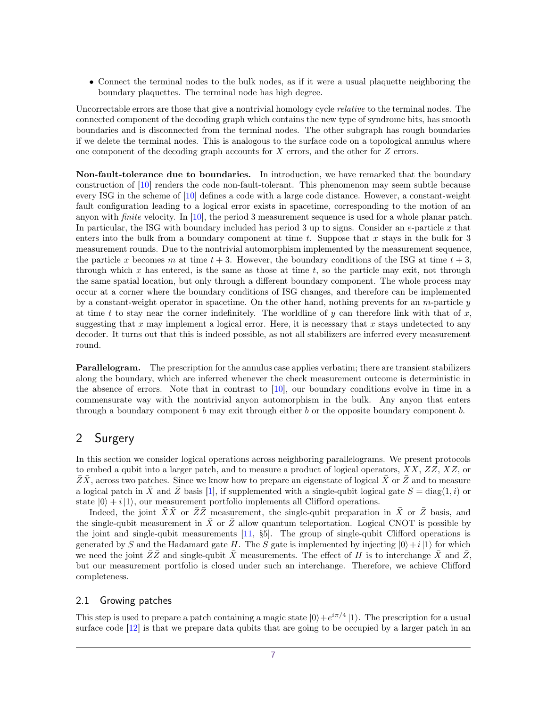• Connect the terminal nodes to the bulk nodes, as if it were a usual plaquette neighboring the boundary plaquettes. The terminal node has high degree.

Uncorrectable errors are those that give a nontrivial homology cycle *relative* to the terminal nodes. The connected component of the decoding graph which contains the new type of syndrome bits, has smooth boundaries and is disconnected from the terminal nodes. The other subgraph has rough boundaries if we delete the terminal nodes. This is analogous to the surface code on a topological annulus where one component of the decoding graph accounts for *X* errors, and the other for *Z* errors.

**Non-fault-tolerance due to boundaries.** In introduction, we have remarked that the boundary construction of [\[10\]](#page-11-2) renders the code non-fault-tolerant. This phenomenon may seem subtle because every ISG in the scheme of [\[10\]](#page-11-2) defines a code with a large code distance. However, a constant-weight fault configuration leading to a logical error exists in spacetime, corresponding to the motion of an anyon with finite velocity. In [\[10\]](#page-11-2), the period 3 measurement sequence is used for a whole planar patch. In particular, the ISG with boundary included has period 3 up to signs. Consider an *e*-particle *x* that enters into the bulk from a boundary component at time *t*. Suppose that *x* stays in the bulk for 3 measurement rounds. Due to the nontrivial automorphism implemented by the measurement sequence, the particle x becomes m at time  $t + 3$ . However, the boundary conditions of the ISG at time  $t + 3$ , through which *x* has entered, is the same as those at time *t*, so the particle may exit, not through the same spatial location, but only through a different boundary component. The whole process may occur at a corner where the boundary conditions of ISG changes, and therefore can be implemented by a constant-weight operator in spacetime. On the other hand, nothing prevents for an *m*-particle *y* at time *t* to stay near the corner indefinitely. The worldline of  $y$  can therefore link with that of  $x$ , suggesting that  $x$  may implement a logical error. Here, it is necessary that  $x$  stays undetected to any decoder. It turns out that this is indeed possible, as not all stabilizers are inferred every measurement round.

**Parallelogram.** The prescription for the annulus case applies verbatim; there are transient stabilizers along the boundary, which are inferred whenever the check measurement outcome is deterministic in the absence of errors. Note that in contrast to [\[10\]](#page-11-2), our boundary conditions evolve in time in a commensurate way with the nontrivial anyon automorphism in the bulk. Any anyon that enters through a boundary component *b* may exit through either *b* or the opposite boundary component *b*.

# <span id="page-6-0"></span>2 Surgery

In this section we consider logical operations across neighboring parallelograms. We present protocols to embed a qubit into a larger patch, and to measure a product of logical operators,  $XX, ZZ, XZ$ , or  $\overline{Z\overline{X}}$ , across two patches. Since we know how to prepare an eigenstate of logical  $\overline{X}$  or  $\overline{Z}$  and to measure a logical patch in  $\overline{X}$  and  $\overline{Z}$  basis [\[1\]](#page-10-0), if supplemented with a single-qubit logical gate  $S = \text{diag}(1, i)$  or state  $|0\rangle + i|1\rangle$ , our measurement portfolio implements all Clifford operations.

Indeed, the joint  $\overline{X}\overline{X}$  or  $\overline{Z}\overline{Z}$  measurement, the single-qubit preparation in  $\overline{X}$  or  $\overline{Z}$  basis, and the single-qubit measurement in  $X$  or  $Z$  allow quantum teleportation. Logical CNOT is possible by the joint and single-qubit measurements [\[11,](#page-11-3) §5]. The group of single-qubit Clifford operations is generated by *S* and the Hadamard gate *H*. The *S* gate is implemented by injecting  $|0\rangle + i|1\rangle$  for which we need the joint  $\overline{Z}\overline{Z}$  and single-qubit  $\overline{X}$  measurements. The effect of *H* is to interchange  $\overline{X}$  and  $\overline{Z}$ , but our measurement portfolio is closed under such an interchange. Therefore, we achieve Clifford completeness.

#### 2.1 Growing patches

This step is used to prepare a patch containing a magic state  $|0\rangle + e^{i\pi/4}|1\rangle$ . The prescription for a usual surface code [\[12\]](#page-11-4) is that we prepare data qubits that are going to be occupied by a larger patch in an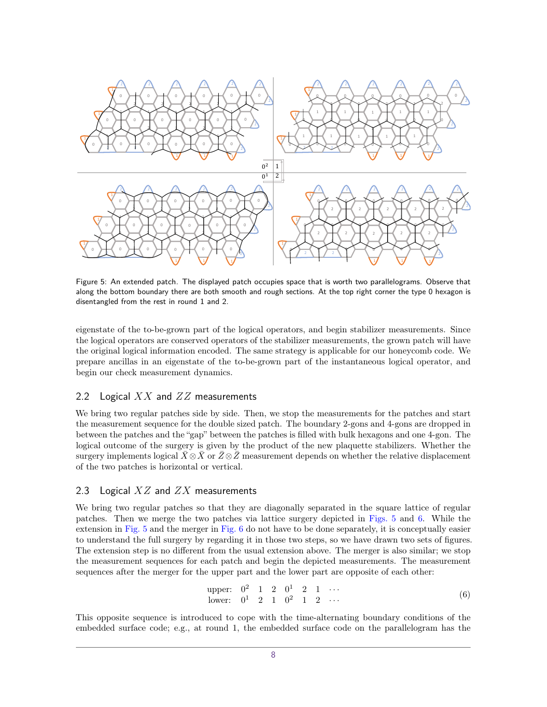<span id="page-7-0"></span>

Figure 5: An extended patch. The displayed patch occupies space that is worth two parallelograms. Observe that along the bottom boundary there are both smooth and rough sections. At the top right corner the type 0 hexagon is disentangled from the rest in round 1 and 2.

eigenstate of the to-be-grown part of the logical operators, and begin stabilizer measurements. Since the logical operators are conserved operators of the stabilizer measurements, the grown patch will have the original logical information encoded. The same strategy is applicable for our honeycomb code. We prepare ancillas in an eigenstate of the to-be-grown part of the instantaneous logical operator, and begin our check measurement dynamics.

#### 2.2 Logical *XX* and *ZZ* measurements

We bring two regular patches side by side. Then, we stop the measurements for the patches and start the measurement sequence for the double sized patch. The boundary 2-gons and 4-gons are dropped in between the patches and the "gap" between the patches is filled with bulk hexagons and one 4-gon. The logical outcome of the surgery is given by the product of the new plaquette stabilizers. Whether the surgery implements logical  $\bar{X} \otimes \bar{X}$  or  $\bar{Z} \otimes \bar{Z}$  measurement depends on whether the relative displacement of the two patches is horizontal or vertical.

## 2.3 Logical *XZ* and *ZX* measurements

We bring two regular patches so that they are diagonally separated in the square lattice of regular patches. Then we merge the two patches via lattice surgery depicted in [Figs. 5](#page-7-0) and [6.](#page-8-0) While the extension in [Fig. 5](#page-7-0) and the merger in [Fig. 6](#page-8-0) do not have to be done separately, it is conceptually easier to understand the full surgery by regarding it in those two steps, so we have drawn two sets of figures. The extension step is no different from the usual extension above. The merger is also similar; we stop the measurement sequences for each patch and begin the depicted measurements. The measurement sequences after the merger for the upper part and the lower part are opposite of each other:

upper: 
$$
0^2
$$
 1 2  $0^1$  2 1  $\cdots$   
lower:  $0^1$  2 1  $0^2$  1 2  $\cdots$  (6)

This opposite sequence is introduced to cope with the time-alternating boundary conditions of the embedded surface code; e.g., at round 1, the embedded surface code on the parallelogram has the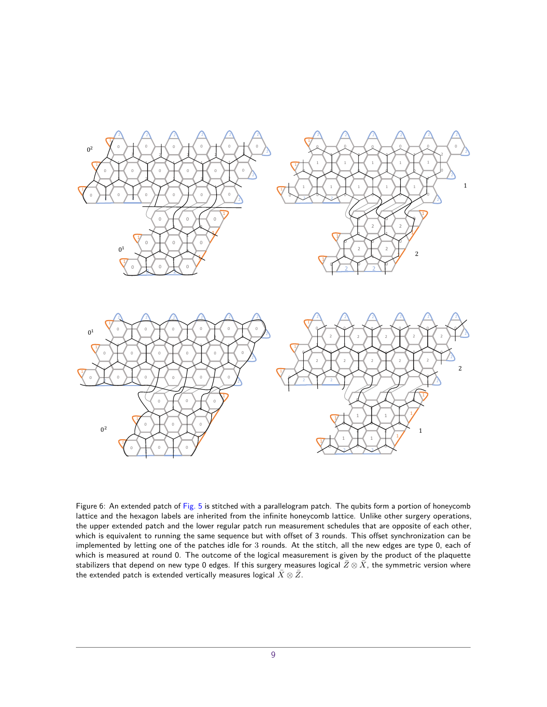<span id="page-8-0"></span>

Figure 6: An extended patch of [Fig. 5](#page-7-0) is stitched with a parallelogram patch. The qubits form a portion of honeycomb lattice and the hexagon labels are inherited from the infinite honeycomb lattice. Unlike other surgery operations, the upper extended patch and the lower regular patch run measurement schedules that are opposite of each other, which is equivalent to running the same sequence but with offset of 3 rounds. This offset synchronization can be implemented by letting one of the patches idle for 3 rounds. At the stitch, all the new edges are type 0, each of which is measured at round 0. The outcome of the logical measurement is given by the product of the plaquette stabilizers that depend on new type 0 edges. If this surgery measures logical  $\bar{Z}\otimes\bar{X}$ , the symmetric version where the extended patch is extended vertically measures logical  $\bar{X}\otimes\bar{Z}$ .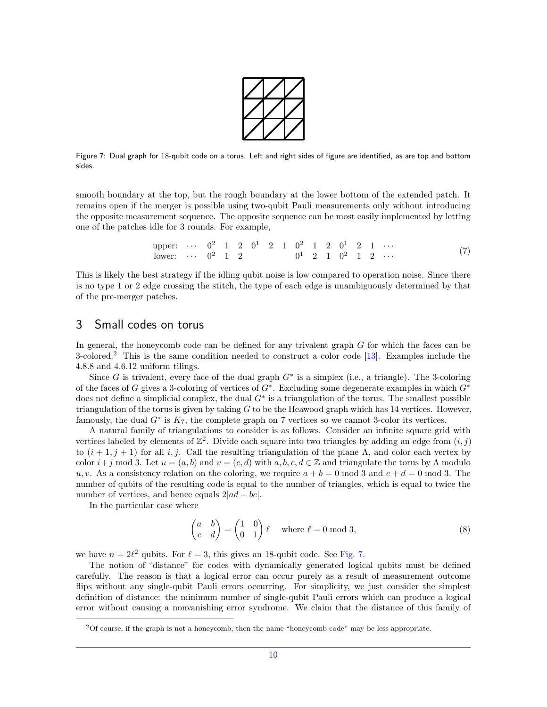

<span id="page-9-2"></span>Figure 7: Dual graph for 18-qubit code on a torus. Left and right sides of figure are identified, as are top and bottom sides.

smooth boundary at the top, but the rough boundary at the lower bottom of the extended patch. It remains open if the merger is possible using two-qubit Pauli measurements only without introducing the opposite measurement sequence. The opposite sequence can be most easily implemented by letting one of the patches idle for 3 rounds. For example,

upper: 
$$
\cdots
$$
  $0^2$  1 2  $0^1$  2 1  $0^2$  1 2  $0^1$  2 1  $\cdots$   
lower:  $\cdots$   $0^2$  1 2  $0^1$  2 1  $0^2$  1 2  $0^1$  2  $\cdots$  (7)

This is likely the best strategy if the idling qubit noise is low compared to operation noise. Since there is no type 1 or 2 edge crossing the stitch, the type of each edge is unambiguously determined by that of the pre-merger patches.

# <span id="page-9-0"></span>3 Small codes on torus

In general, the honeycomb code can be defined for any trivalent graph *G* for which the faces can be 3-colored.<sup>[2](#page-9-1)</sup> This is the same condition needed to construct a color code [\[13\]](#page-11-5). Examples include the 4*.*8*.*8 and 4*.*6*.*12 uniform tilings.

Since  $G$  is trivalent, every face of the dual graph  $G^*$  is a simplex (i.e., a triangle). The 3-coloring of the faces of *G* gives a 3-coloring of vertices of *G*<sup>∗</sup> . Excluding some degenerate examples in which *G*<sup>∗</sup> does not define a simplicial complex, the dual *G*<sup>∗</sup> is a triangulation of the torus. The smallest possible triangulation of the torus is given by taking *G* to be the Heawood graph which has 14 vertices. However, famously, the dual  $G^*$  is  $K_7$ , the complete graph on 7 vertices so we cannot 3-color its vertices.

A natural family of triangulations to consider is as follows. Consider an infinite square grid with vertices labeled by elements of  $\mathbb{Z}^2$ . Divide each square into two triangles by adding an edge from  $(i, j)$ to  $(i + 1, j + 1)$  for all *i, j.* Call the resulting triangulation of the plane Λ, and color each vertex by color  $i+j \mod 3$ . Let  $u = (a, b)$  and  $v = (c, d)$  with  $a, b, c, d \in \mathbb{Z}$  and triangulate the torus by  $\Lambda$  modulo *u, v.* As a consistency relation on the coloring, we require  $a + b = 0 \text{ mod } 3$  and  $c + d = 0 \text{ mod } 3$ . The number of qubits of the resulting code is equal to the number of triangles, which is equal to twice the number of vertices, and hence equals 2|*ad* − *bc*|.

In the particular case where

<span id="page-9-3"></span>
$$
\begin{pmatrix} a & b \ c & d \end{pmatrix} = \begin{pmatrix} 1 & 0 \ 0 & 1 \end{pmatrix} \ell \quad \text{where } \ell = 0 \text{ mod } 3,
$$
 (8)

we have  $n = 2\ell^2$  qubits. For  $\ell = 3$ , this gives an 18-qubit code. See [Fig. 7.](#page-9-2)

The notion of "distance" for codes with dynamically generated logical qubits must be defined carefully. The reason is that a logical error can occur purely as a result of measurement outcome flips without any single-qubit Pauli errors occurring. For simplicity, we just consider the simplest definition of distance: the minimum number of single-qubit Pauli errors which can produce a logical error without causing a nonvanishing error syndrome. We claim that the distance of this family of

<span id="page-9-1"></span><sup>2</sup>Of course, if the graph is not a honeycomb, then the name "honeycomb code" may be less appropriate.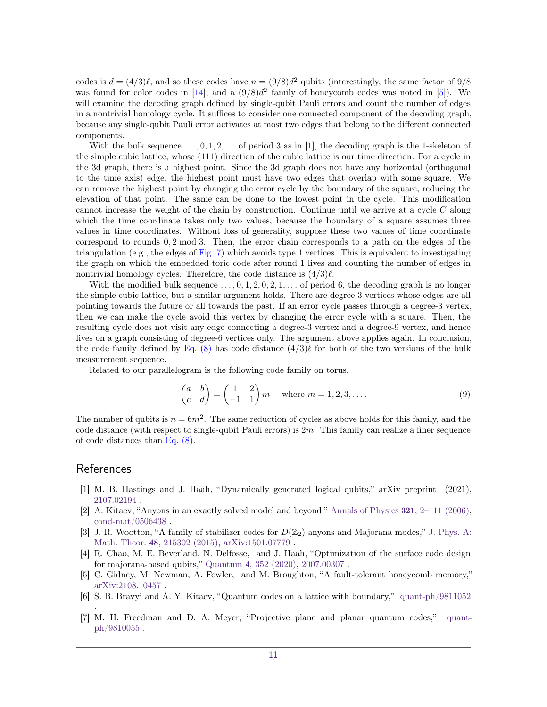codes is  $d = (4/3)\ell$ , and so these codes have  $n = (9/8)d^2$  qubits (interestingly, the same factor of  $9/8$ was found for color codes in  $[14]$ , and a  $(9/8)d^2$  family of honeycomb codes was noted in  $[5]$ ). We will examine the decoding graph defined by single-qubit Pauli errors and count the number of edges in a nontrivial homology cycle. It suffices to consider one connected component of the decoding graph, because any single-qubit Pauli error activates at most two edges that belong to the different connected components.

With the bulk sequence  $\dots$ , 0, 1, 2,  $\dots$  of period 3 as in [\[1\]](#page-10-0), the decoding graph is the 1-skeleton of the simple cubic lattice, whose (111) direction of the cubic lattice is our time direction. For a cycle in the 3d graph, there is a highest point. Since the 3d graph does not have any horizontal (orthogonal to the time axis) edge, the highest point must have two edges that overlap with some square. We can remove the highest point by changing the error cycle by the boundary of the square, reducing the elevation of that point. The same can be done to the lowest point in the cycle. This modification cannot increase the weight of the chain by construction. Continue until we arrive at a cycle *C* along which the time coordinate takes only two values, because the boundary of a square assumes three values in time coordinates. Without loss of generality, suppose these two values of time coordinate correspond to rounds 0*,* 2 mod 3. Then, the error chain corresponds to a path on the edges of the triangulation (e.g., the edges of [Fig. 7\)](#page-9-2) which avoids type 1 vertices. This is equivalent to investigating the graph on which the embedded toric code after round 1 lives and counting the number of edges in nontrivial homology cycles. Therefore, the code distance is  $\left(\frac{4}{3}\right)\ell$ .

With the modified bulk sequence  $\dots, 0, 1, 2, 0, 2, 1, \dots$  of period 6, the decoding graph is no longer the simple cubic lattice, but a similar argument holds. There are degree-3 vertices whose edges are all pointing towards the future or all towards the past. If an error cycle passes through a degree-3 vertex, then we can make the cycle avoid this vertex by changing the error cycle with a square. Then, the resulting cycle does not visit any edge connecting a degree-3 vertex and a degree-9 vertex, and hence lives on a graph consisting of degree-6 vertices only. The argument above applies again. In conclusion, the code family defined by Eq.  $(8)$  has code distance  $(4/3)\ell$  for both of the two versions of the bulk measurement sequence.

Related to our parallelogram is the following code family on torus.

$$
\begin{pmatrix} a & b \ c & d \end{pmatrix} = \begin{pmatrix} 1 & 2 \ -1 & 1 \end{pmatrix} m \quad \text{where } m = 1, 2, 3, .... \tag{9}
$$

The number of qubits is  $n = 6m^2$ . The same reduction of cycles as above holds for this family, and the code distance (with respect to single-qubit Pauli errors) is 2*m*. This family can realize a finer sequence of code distances than [Eq. \(8\).](#page-9-3)

# References

.

- <span id="page-10-0"></span>[1] M. B. Hastings and J. Haah, "Dynamically generated logical qubits," arXiv preprint (2021), [2107.02194](http://arxiv.org/abs/2107.02194) .
- <span id="page-10-1"></span>[2] A. Kitaev, "Anyons in an exactly solved model and beyond," [Annals of Physics](http://dx.doi.org/ 10.1016/j.aop.2005.10.005) 321, 2–111 (2006), [cond-mat/0506438](http://arxiv.org/abs/cond-mat/0506438) .
- <span id="page-10-2"></span>[3] J. R. Wootton, "A family of stabilizer codes for  $D(\mathbb{Z}_2)$  anyons and Majorana modes," [J. Phys. A:](http://dx.doi.org/10.1088/1751-8113/48/21/215302) Math. Theor. 48[, 215302 \(2015\),](http://dx.doi.org/10.1088/1751-8113/48/21/215302) [arXiv:1501.07779](http://arxiv.org/abs/1501.07779) .
- <span id="page-10-3"></span>[4] R. Chao, M. E. Beverland, N. Delfosse, and J. Haah, "Optimization of the surface code design for majorana-based qubits," Quantum 4[, 352 \(2020\),](http://dx.doi.org/10.22331/q-2020-10-28-352) [2007.00307](http://arxiv.org/abs/2007.00307) .
- <span id="page-10-4"></span>[5] C. Gidney, M. Newman, A. Fowler, and M. Broughton, "A fault-tolerant honeycomb memory," [arXiv:2108.10457](http://arxiv.org/abs/2108.10457) .
- <span id="page-10-5"></span>[6] S. B. Bravyi and A. Y. Kitaev, "Quantum codes on a lattice with boundary," [quant-ph/9811052](http://arxiv.org/abs/quant-ph/9811052)
- <span id="page-10-6"></span>[7] M. H. Freedman and D. A. Meyer, "Projective plane and planar quantum codes," [quant](http://arxiv.org/abs/quant-ph/9810055)[ph/9810055](http://arxiv.org/abs/quant-ph/9810055) .